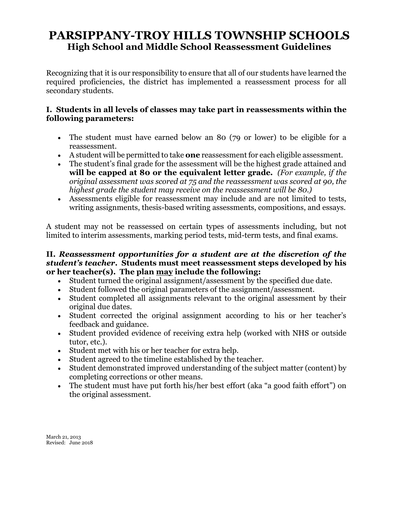## **PARSIPPANY-TROY HILLS TOWNSHIP SCHOOLS High School and Middle School Reassessment Guidelines**

Recognizing that it is our responsibility to ensure that all of our students have learned the required proficiencies, the district has implemented a reassessment process for all secondary students.

## **I. Students in all levels of classes may take part in reassessments within the following parameters:**

- The student must have earned below an 80 (79 or lower) to be eligible for a reassessment.
- A student will be permitted to take **one** reassessment for each eligible assessment.
- The student's final grade for the assessment will be the highest grade attained and **will be capped at 80 or the equivalent letter grade.** *(For example, if the original assessment was scored at 75 and the reassessment was scored at 90, the highest grade the student may receive on the reassessment will be 80.)*
- Assessments eligible for reassessment may include and are not limited to tests, writing assignments, thesis-based writing assessments, compositions, and essays.

A student may not be reassessed on certain types of assessments including, but not limited to interim assessments, marking period tests, mid-term tests, and final exams.

## **II.** *Reassessment opportunities for a student are at the discretion of the student's teacher***. Students must meet reassessment steps developed by his or her teacher(s). The plan may include the following:**

- Student turned the original assignment/assessment by the specified due date.
- Student followed the original parameters of the assignment/assessment.
- Student completed all assignments relevant to the original assessment by their original due dates.
- Student corrected the original assignment according to his or her teacher's feedback and guidance.
- Student provided evidence of receiving extra help (worked with NHS or outside tutor, etc.).
- Student met with his or her teacher for extra help.
- Student agreed to the timeline established by the teacher.
- Student demonstrated improved understanding of the subject matter (content) by completing corrections or other means.
- The student must have put forth his/her best effort (aka "a good faith effort") on the original assessment.

March 21, 2013 Revised: June 2018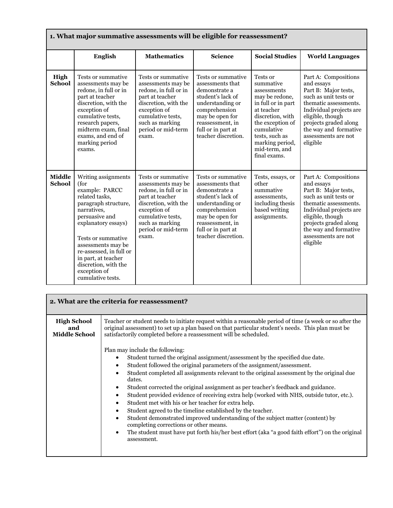| 1. What major summative assessments will be eligible for reassessment? |                                                                                                                                                                                                                                                                                                            |                                                                                                                                                                                                     |                                                                                                                                                                                                       |                                                                                                                                                                                                                        |                                                                                                                                                                                                                                                  |  |  |  |
|------------------------------------------------------------------------|------------------------------------------------------------------------------------------------------------------------------------------------------------------------------------------------------------------------------------------------------------------------------------------------------------|-----------------------------------------------------------------------------------------------------------------------------------------------------------------------------------------------------|-------------------------------------------------------------------------------------------------------------------------------------------------------------------------------------------------------|------------------------------------------------------------------------------------------------------------------------------------------------------------------------------------------------------------------------|--------------------------------------------------------------------------------------------------------------------------------------------------------------------------------------------------------------------------------------------------|--|--|--|
|                                                                        | English                                                                                                                                                                                                                                                                                                    | <b>Mathematics</b>                                                                                                                                                                                  | <b>Science</b>                                                                                                                                                                                        | <b>Social Studies</b>                                                                                                                                                                                                  | <b>World Languages</b>                                                                                                                                                                                                                           |  |  |  |
| High<br><b>School</b>                                                  | Tests or summative<br>assessments may be<br>redone, in full or in<br>part at teacher<br>discretion, with the<br>exception of<br>cumulative tests,<br>research papers,<br>midterm exam, final<br>exams, and end of<br>marking period<br>exams.                                                              | Tests or summative<br>assessments may be<br>redone, in full or in<br>part at teacher<br>discretion, with the<br>exception of<br>cumulative tests,<br>such as marking<br>period or mid-term<br>exam. | Tests or summative<br>assessments that<br>demonstrate a<br>student's lack of<br>understanding or<br>comprehension<br>may be open for<br>reassessment, in<br>full or in part at<br>teacher discretion. | Tests or<br>summative<br>assessments<br>may be redone.<br>in full or in part<br>at teacher<br>discretion, with<br>the exception of<br>cumulative<br>tests, such as<br>marking period,<br>mid-term, and<br>final exams. | Part A: Compositions<br>and essays<br>Part B: Major tests,<br>such as unit tests or<br>thematic assessments.<br>Individual projects are<br>eligible, though<br>projects graded along<br>the way and formative<br>assessments are not<br>eligible |  |  |  |
| <b>Middle</b><br><b>School</b>                                         | Writing assignments<br>(for<br>example: PARCC<br>related tasks,<br>paragraph structure,<br>narratives,<br>persuasive and<br>explanatory essays)<br>Tests or summative<br>assessments may be<br>re-assessed, in full or<br>in part, at teacher<br>discretion, with the<br>exception of<br>cumulative tests. | Tests or summative<br>assessments may be<br>redone, in full or in<br>part at teacher<br>discretion, with the<br>exception of<br>cumulative tests,<br>such as marking<br>period or mid-term<br>exam. | Tests or summative<br>assessments that<br>demonstrate a<br>student's lack of<br>understanding or<br>comprehension<br>may be open for<br>reassessment, in<br>full or in part at<br>teacher discretion. | Tests, essays, or<br>other<br>summative<br>assessments.<br>including thesis<br>based writing<br>assignments.                                                                                                           | Part A: Compositions<br>and essays<br>Part B: Major tests,<br>such as unit tests or<br>thematic assessments.<br>Individual projects are<br>eligible, though<br>projects graded along<br>the way and formative<br>assessments are not<br>eligible |  |  |  |

| 2. What are the criteria for reassessment?        |                                                                                                                                                                                                                                                                                   |  |  |  |  |  |
|---------------------------------------------------|-----------------------------------------------------------------------------------------------------------------------------------------------------------------------------------------------------------------------------------------------------------------------------------|--|--|--|--|--|
| <b>High School</b><br>and<br><b>Middle School</b> | Teacher or student needs to initiate request within a reasonable period of time (a week or so after the<br>original assessment) to set up a plan based on that particular student's needs. This plan must be<br>satisfactorily completed before a reassessment will be scheduled. |  |  |  |  |  |
|                                                   | Plan may include the following:                                                                                                                                                                                                                                                   |  |  |  |  |  |
|                                                   | Student turned the original assignment/assessment by the specified due date.                                                                                                                                                                                                      |  |  |  |  |  |
|                                                   | Student followed the original parameters of the assignment/assessment.<br>٠                                                                                                                                                                                                       |  |  |  |  |  |
|                                                   | Student completed all assignments relevant to the original assessment by the original due<br>dates.                                                                                                                                                                               |  |  |  |  |  |
|                                                   | Student corrected the original assignment as per teacher's feedback and guidance.<br>٠                                                                                                                                                                                            |  |  |  |  |  |
|                                                   | Student provided evidence of receiving extra help (worked with NHS, outside tutor, etc.).<br>٠                                                                                                                                                                                    |  |  |  |  |  |
|                                                   | Student met with his or her teacher for extra help.<br>٠                                                                                                                                                                                                                          |  |  |  |  |  |
|                                                   | Student agreed to the timeline established by the teacher.<br>٠                                                                                                                                                                                                                   |  |  |  |  |  |
|                                                   | Student demonstrated improved understanding of the subject matter (content) by<br>$\bullet$<br>completing corrections or other means.                                                                                                                                             |  |  |  |  |  |
|                                                   | The student must have put forth his/her best effort (aka "a good faith effort") on the original<br>٠<br>assessment.                                                                                                                                                               |  |  |  |  |  |
|                                                   |                                                                                                                                                                                                                                                                                   |  |  |  |  |  |